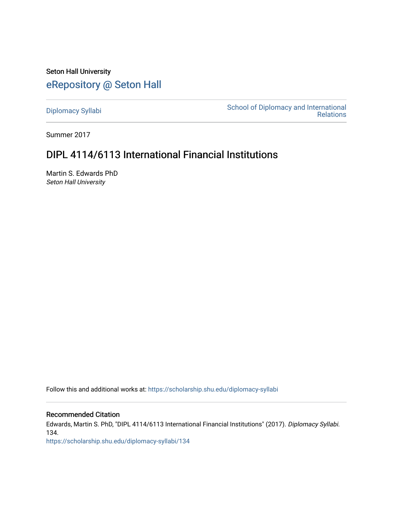Seton Hall University [eRepository @ Seton Hall](https://scholarship.shu.edu/)

[Diplomacy Syllabi](https://scholarship.shu.edu/diplomacy-syllabi) [School of Diplomacy and International](https://scholarship.shu.edu/diplomacy)  [Relations](https://scholarship.shu.edu/diplomacy) 

Summer 2017

# DIPL 4114/6113 International Financial Institutions

Martin S. Edwards PhD Seton Hall University

Follow this and additional works at: [https://scholarship.shu.edu/diplomacy-syllabi](https://scholarship.shu.edu/diplomacy-syllabi?utm_source=scholarship.shu.edu%2Fdiplomacy-syllabi%2F134&utm_medium=PDF&utm_campaign=PDFCoverPages) 

Recommended Citation

Edwards, Martin S. PhD, "DIPL 4114/6113 International Financial Institutions" (2017). Diplomacy Syllabi. 134.

[https://scholarship.shu.edu/diplomacy-syllabi/134](https://scholarship.shu.edu/diplomacy-syllabi/134?utm_source=scholarship.shu.edu%2Fdiplomacy-syllabi%2F134&utm_medium=PDF&utm_campaign=PDFCoverPages)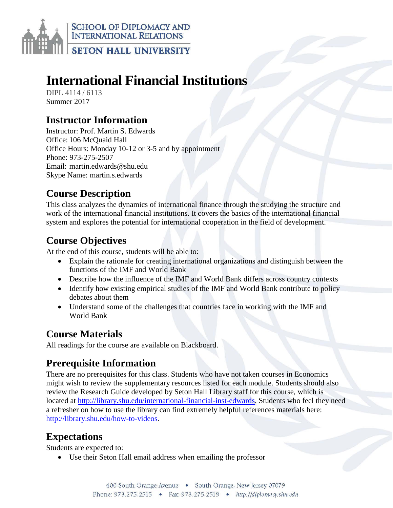

# **International Financial Institutions**

DIPL 4114 / 6113 Summer 2017

# **Instructor Information**

Instructor: Prof. Martin S. Edwards Office: 106 McQuaid Hall Office Hours: Monday 10-12 or 3-5 and by appointment Phone: 973-275-2507 Email: martin.edwards@shu.edu Skype Name: martin.s.edwards

# **Course Description**

This class analyzes the dynamics of international finance through the studying the structure and work of the international financial institutions. It covers the basics of the international financial system and explores the potential for international cooperation in the field of development.

# **Course Objectives**

At the end of this course, students will be able to:

- Explain the rationale for creating international organizations and distinguish between the functions of the IMF and World Bank
- Describe how the influence of the IMF and World Bank differs across country contexts
- Identify how existing empirical studies of the IMF and World Bank contribute to policy debates about them
- Understand some of the challenges that countries face in working with the IMF and World Bank

# **Course Materials**

All readings for the course are available on Blackboard.

# **Prerequisite Information**

There are no prerequisites for this class. Students who have not taken courses in Economics might wish to review the supplementary resources listed for each module. Students should also review the Research Guide developed by Seton Hall Library staff for this course, which is located at [http://library.shu.edu/international-financial-inst-edwards.](http://library.shu.edu/international-financial-inst-edwards) Students who feel they need a refresher on how to use the library can find extremely helpful references materials here: [http://library.shu.edu/how-to-videos.](http://library.shu.edu/how-to-videos)

# **Expectations**

Students are expected to:

Use their Seton Hall email address when emailing the professor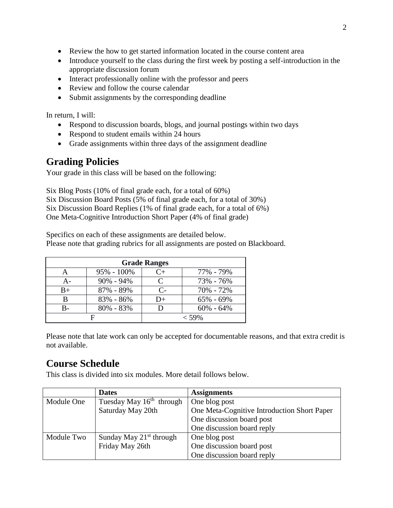- Review the how to get started information located in the course content area
- Introduce yourself to the class during the first week by posting a self-introduction in the appropriate discussion forum
- Interact professionally online with the professor and peers
- Review and follow the course calendar
- Submit assignments by the corresponding deadline

In return, I will:

- Respond to discussion boards, blogs, and journal postings within two days
- Respond to student emails within 24 hours
- Grade assignments within three days of the assignment deadline

# **Grading Policies**

Your grade in this class will be based on the following:

Six Blog Posts (10% of final grade each, for a total of 60%) Six Discussion Board Posts (5% of final grade each, for a total of 30%) Six Discussion Board Replies (1% of final grade each, for a total of 6%) One Meta-Cognitive Introduction Short Paper (4% of final grade)

Specifics on each of these assignments are detailed below. Please note that grading rubrics for all assignments are posted on Blackboard.

| <b>Grade Ranges</b> |                |                      |               |  |
|---------------------|----------------|----------------------|---------------|--|
|                     | $95\% - 100\%$ | $C_{\pm}$            | 77% - 79%     |  |
| А-                  | $90\% - 94\%$  | $\subset$            | 73% - 76%     |  |
| $B+$                | 87% - 89%      | $\mathsf{C}\text{-}$ | 70% - 72%     |  |
|                     | 83% - 86%      | D+                   | $65\% - 69\%$ |  |
|                     | $80\% - 83\%$  |                      | $60\% - 64\%$ |  |
|                     |                |                      | $<$ 59%       |  |

Please note that late work can only be accepted for documentable reasons, and that extra credit is not available.

# **Course Schedule**

This class is divided into six modules. More detail follows below.

|            | <b>Dates</b>               | <b>Assignments</b>                          |  |
|------------|----------------------------|---------------------------------------------|--|
| Module One | Tuesday May $16th$ through | One blog post                               |  |
|            | Saturday May 20th          | One Meta-Cognitive Introduction Short Paper |  |
|            |                            | One discussion board post                   |  |
|            |                            | One discussion board reply                  |  |
| Module Two | Sunday May $21st$ through  | One blog post                               |  |
|            | Friday May 26th            | One discussion board post                   |  |
|            |                            | One discussion board reply                  |  |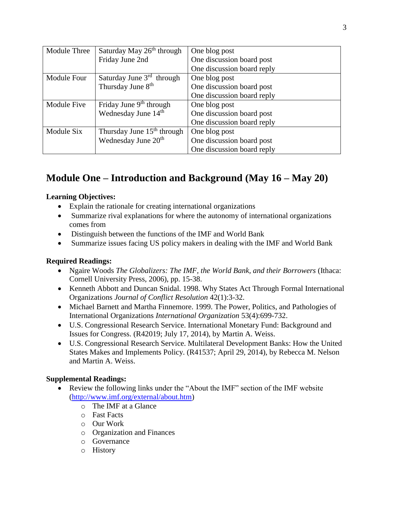| Module Three | Saturday May 26 <sup>th</sup> through  | One blog post              |  |
|--------------|----------------------------------------|----------------------------|--|
|              | Friday June 2nd                        | One discussion board post  |  |
|              |                                        | One discussion board reply |  |
| Module Four  | Saturday June 3 <sup>rd</sup> through  | One blog post              |  |
|              | Thursday June 8 <sup>th</sup>          | One discussion board post  |  |
|              |                                        | One discussion board reply |  |
| Module Five  | Friday June 9 <sup>th</sup> through    | One blog post              |  |
|              | Wednesday June 14th                    | One discussion board post  |  |
|              |                                        | One discussion board reply |  |
| Module Six   | Thursday June 15 <sup>th</sup> through | One blog post              |  |
|              | Wednesday June 20 <sup>th</sup>        | One discussion board post  |  |
|              |                                        | One discussion board reply |  |

# **Module One – Introduction and Background (May 16 – May 20)**

### **Learning Objectives:**

- Explain the rationale for creating international organizations
- Summarize rival explanations for where the autonomy of international organizations comes from
- Distinguish between the functions of the IMF and World Bank
- Summarize issues facing US policy makers in dealing with the IMF and World Bank

### **Required Readings:**

- Ngaire Woods *The Globalizers: The IMF, the World Bank, and their Borrowers* (Ithaca: Cornell University Press, 2006), pp. 15-38.
- Kenneth Abbott and Duncan Snidal. 1998. Why States Act Through Formal International Organizations *Journal of Conflict Resolution* 42(1):3-32.
- Michael Barnett and Martha Finnemore. 1999. The Power, Politics, and Pathologies of International Organizations *International Organization* 53(4):699-732.
- U.S. Congressional Research Service. International Monetary Fund: Background and Issues for Congress. (R42019; July 17, 2014), by Martin A. Weiss.
- U.S. Congressional Research Service. Multilateral Development Banks: How the United States Makes and Implements Policy. (R41537; April 29, 2014), by Rebecca M. Nelson and Martin A. Weiss.

### **Supplemental Readings:**

- Review the following links under the "About the IMF" section of the IMF website [\(http://www.imf.org/external/about.htm\)](http://www.imf.org/external/about.htm)
	- o The IMF at a Glance
	- o Fast Facts
	- o Our Work
	- o Organization and Finances
	- o Governance
	- o History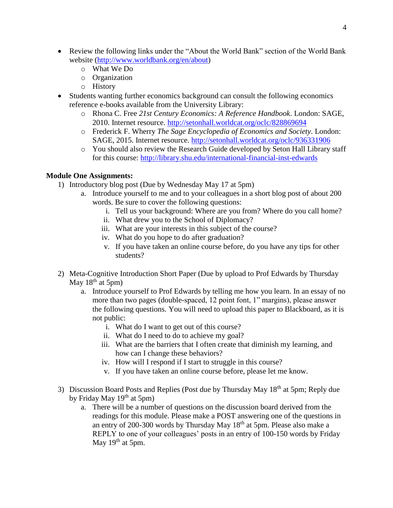- Review the following links under the "About the World Bank" section of the World Bank website [\(http://www.worldbank.org/en/about\)](http://www.worldbank.org/en/about)
	- o What We Do
	- o Organization
	- o History
- Students wanting further economics background can consult the following economics reference e-books available from the University Library:
	- o Rhona C. Free *21st Century Economics: A Reference Handbook*. London: SAGE, 2010. Internet resource.<http://setonhall.worldcat.org/oclc/828869694>
	- o Frederick F. Wherry *The Sage Encyclopedia of Economics and Society*. London: SAGE, 2015. Internet resource.<http://setonhall.worldcat.org/oclc/936331906>
	- o You should also review the Research Guide developed by Seton Hall Library staff for this course:<http://library.shu.edu/international-financial-inst-edwards>

#### **Module One Assignments:**

- 1) Introductory blog post (Due by Wednesday May 17 at 5pm)
	- a. Introduce yourself to me and to your colleagues in a short blog post of about 200 words. Be sure to cover the following questions:
		- i. Tell us your background: Where are you from? Where do you call home?
		- ii. What drew you to the School of Diplomacy?
		- iii. What are your interests in this subject of the course?
		- iv. What do you hope to do after graduation?
		- v. If you have taken an online course before, do you have any tips for other students?
- 2) Meta-Cognitive Introduction Short Paper (Due by upload to Prof Edwards by Thursday May  $18<sup>th</sup>$  at 5pm)
	- a. Introduce yourself to Prof Edwards by telling me how you learn. In an essay of no more than two pages (double-spaced, 12 point font, 1" margins), please answer the following questions. You will need to upload this paper to Blackboard, as it is not public:
		- i. What do I want to get out of this course?
		- ii. What do I need to do to achieve my goal?
		- iii. What are the barriers that I often create that diminish my learning, and how can I change these behaviors?
		- iv. How will I respond if I start to struggle in this course?
		- v. If you have taken an online course before, please let me know.
- 3) Discussion Board Posts and Replies (Post due by Thursday May 18<sup>th</sup> at 5pm; Reply due by Friday May  $19<sup>th</sup>$  at 5pm)
	- a. There will be a number of questions on the discussion board derived from the readings for this module. Please make a POST answering one of the questions in an entry of  $200-300$  words by Thursday May  $18<sup>th</sup>$  at 5pm. Please also make a REPLY to one of your colleagues' posts in an entry of 100-150 words by Friday May  $19<sup>th</sup>$  at 5pm.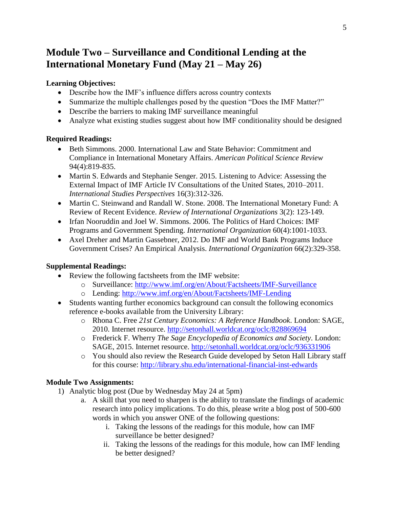# **Module Two – Surveillance and Conditional Lending at the International Monetary Fund (May 21 – May 26)**

### **Learning Objectives:**

- Describe how the IMF's influence differs across country contexts
- Summarize the multiple challenges posed by the question "Does the IMF Matter?"
- Describe the barriers to making IMF surveillance meaningful
- Analyze what existing studies suggest about how IMF conditionality should be designed

### **Required Readings:**

- Beth Simmons. 2000. International Law and State Behavior: Commitment and Compliance in International Monetary Affairs. *American Political Science Review* 94(4):819-835.
- Martin S. Edwards and Stephanie Senger. 2015. Listening to Advice: Assessing the External Impact of IMF Article IV Consultations of the United States, 2010–2011. *International Studies Perspectives* 16(3):312-326.
- Martin C. Steinwand and Randall W. Stone. 2008. The International Monetary Fund: A Review of Recent Evidence. *Review of International Organizations* 3(2): 123-149.
- Irfan Nooruddin and Joel W. Simmons. 2006. The Politics of Hard Choices: IMF Programs and Government Spending. *International Organization* 60(4):1001-1033.
- Axel Dreher and Martin Gassebner, 2012. Do IMF and World Bank Programs Induce Government Crises? An Empirical Analysis. *International Organization* 66(2):329-358.

### **Supplemental Readings:**

- Review the following factsheets from the IMF website:
	- o Surveillance:<http://www.imf.org/en/About/Factsheets/IMF-Surveillance>
	- o Lending:<http://www.imf.org/en/About/Factsheets/IMF-Lending>
- Students wanting further economics background can consult the following economics reference e-books available from the University Library:
	- o Rhona C. Free *21st Century Economics: A Reference Handbook*. London: SAGE, 2010. Internet resource.<http://setonhall.worldcat.org/oclc/828869694>
	- o Frederick F. Wherry *The Sage Encyclopedia of Economics and Society*. London: SAGE, 2015. Internet resource.<http://setonhall.worldcat.org/oclc/936331906>
	- o You should also review the Research Guide developed by Seton Hall Library staff for this course:<http://library.shu.edu/international-financial-inst-edwards>

### **Module Two Assignments:**

- 1) Analytic blog post (Due by Wednesday May 24 at 5pm)
	- a. A skill that you need to sharpen is the ability to translate the findings of academic research into policy implications. To do this, please write a blog post of 500-600 words in which you answer ONE of the following questions:
		- i. Taking the lessons of the readings for this module, how can IMF surveillance be better designed?
		- ii. Taking the lessons of the readings for this module, how can IMF lending be better designed?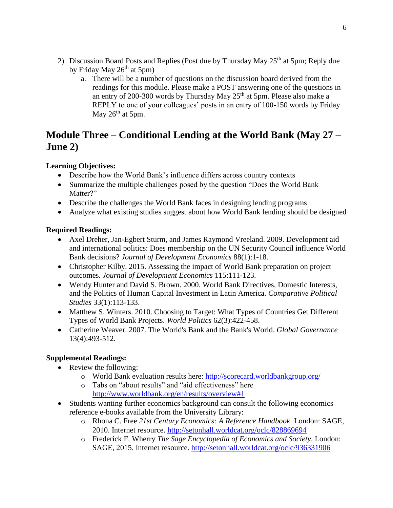- 2) Discussion Board Posts and Replies (Post due by Thursday May  $25<sup>th</sup>$  at 5pm; Reply due by Friday May  $26<sup>th</sup>$  at 5pm)
	- a. There will be a number of questions on the discussion board derived from the readings for this module. Please make a POST answering one of the questions in an entry of 200-300 words by Thursday May  $25<sup>th</sup>$  at 5pm. Please also make a REPLY to one of your colleagues' posts in an entry of 100-150 words by Friday May  $26<sup>th</sup>$  at 5pm.

### **Module Three – Conditional Lending at the World Bank (May 27 – June 2)**

### **Learning Objectives:**

- Describe how the World Bank's influence differs across country contexts
- Summarize the multiple challenges posed by the question "Does the World Bank Matter?"
- Describe the challenges the World Bank faces in designing lending programs
- Analyze what existing studies suggest about how World Bank lending should be designed

#### **Required Readings:**

- Axel Dreher, Jan-Egbert Sturm, and James Raymond Vreeland. 2009. Development aid and international politics: Does membership on the UN Security Council influence World Bank decisions? *Journal of Development Economics* 88(1):1-18.
- Christopher Kilby. 2015. Assessing the impact of World Bank preparation on project outcomes. *Journal of Development Economics* 115:111-123.
- Wendy Hunter and David S. Brown. 2000. World Bank Directives, Domestic Interests, and the Politics of Human Capital Investment in Latin America. *Comparative Political Studies* 33(1):113-133.
- Matthew S. Winters. 2010. Choosing to Target: What Types of Countries Get Different Types of World Bank Projects. *World Politics* 62(3):422-458.
- Catherine Weaver. 2007. The World's Bank and the Bank's World. *Global Governance* 13(4):493-512.

### **Supplemental Readings:**

- Review the following:
	- o World Bank evaluation results here:<http://scorecard.worldbankgroup.org/>
	- o Tabs on "about results" and "aid effectiveness" here <http://www.worldbank.org/en/results/overview#1>
- Students wanting further economics background can consult the following economics reference e-books available from the University Library:
	- o Rhona C. Free *21st Century Economics: A Reference Handbook*. London: SAGE, 2010. Internet resource.<http://setonhall.worldcat.org/oclc/828869694>
	- o Frederick F. Wherry *The Sage Encyclopedia of Economics and Society*. London: SAGE, 2015. Internet resource.<http://setonhall.worldcat.org/oclc/936331906>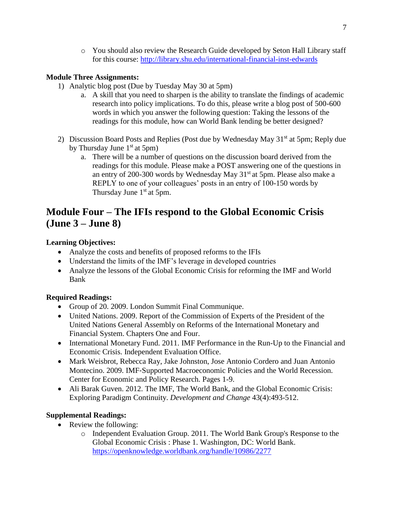o You should also review the Research Guide developed by Seton Hall Library staff for this course:<http://library.shu.edu/international-financial-inst-edwards>

### **Module Three Assignments:**

- 1) Analytic blog post (Due by Tuesday May 30 at 5pm)
	- a. A skill that you need to sharpen is the ability to translate the findings of academic research into policy implications. To do this, please write a blog post of 500-600 words in which you answer the following question: Taking the lessons of the readings for this module, how can World Bank lending be better designed?
- 2) Discussion Board Posts and Replies (Post due by Wednesday May  $31<sup>st</sup>$  at 5pm; Reply due by Thursday June  $1<sup>st</sup>$  at 5pm)
	- a. There will be a number of questions on the discussion board derived from the readings for this module. Please make a POST answering one of the questions in an entry of 200-300 words by Wednesday May 31<sup>st</sup> at 5pm. Please also make a REPLY to one of your colleagues' posts in an entry of 100-150 words by Thursday June  $1<sup>st</sup>$  at 5pm.

# **Module Four – The IFIs respond to the Global Economic Crisis (June 3 – June 8)**

### **Learning Objectives:**

- Analyze the costs and benefits of proposed reforms to the IFIs
- Understand the limits of the IMF's leverage in developed countries
- Analyze the lessons of the Global Economic Crisis for reforming the IMF and World Bank

### **Required Readings:**

- Group of 20. 2009. London Summit Final Communique.
- United Nations. 2009. Report of the Commission of Experts of the President of the United Nations General Assembly on Reforms of the International Monetary and Financial System. Chapters One and Four.
- International Monetary Fund. 2011. IMF Performance in the Run-Up to the Financial and Economic Crisis. Independent Evaluation Office.
- Mark Weisbrot, Rebecca Ray, Jake Johnston, Jose Antonio Cordero and Juan Antonio Montecino. 2009. IMF‐Supported Macroeconomic Policies and the World Recession. Center for Economic and Policy Research. Pages 1-9.
- Ali Barak Guven. 2012. The IMF, The World Bank, and the Global Economic Crisis: Exploring Paradigm Continuity. *Development and Change* 43(4):493-512.

### **Supplemental Readings:**

- Review the following:
	- o Independent Evaluation Group. 2011. The World Bank Group's Response to the Global Economic Crisis : Phase 1. Washington, DC: World Bank. <https://openknowledge.worldbank.org/handle/10986/2277>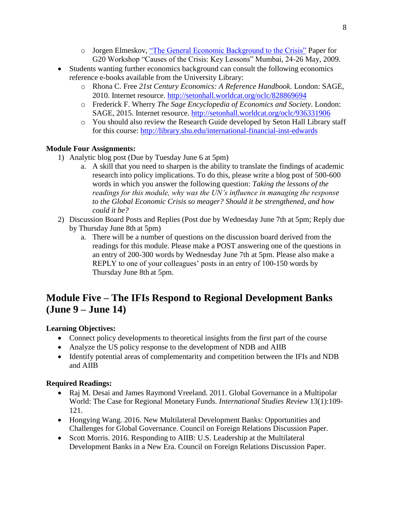- o Jorgen Elmeskov, ["The General Economic Background to the Crisis"](https://www.oecd.org/eco/42843570.pdf) Paper for G20 Workshop "Causes of the Crisis: Key Lessons" Mumbai, 24-26 May, 2009.
- Students wanting further economics background can consult the following economics reference e-books available from the University Library:
	- o Rhona C. Free *21st Century Economics: A Reference Handbook*. London: SAGE, 2010. Internet resource.<http://setonhall.worldcat.org/oclc/828869694>
	- o Frederick F. Wherry *The Sage Encyclopedia of Economics and Society*. London: SAGE, 2015. Internet resource.<http://setonhall.worldcat.org/oclc/936331906>
	- o You should also review the Research Guide developed by Seton Hall Library staff for this course:<http://library.shu.edu/international-financial-inst-edwards>

### **Module Four Assignments:**

- 1) Analytic blog post (Due by Tuesday June 6 at 5pm)
	- a. A skill that you need to sharpen is the ability to translate the findings of academic research into policy implications. To do this, please write a blog post of 500-600 words in which you answer the following question: *Taking the lessons of the readings for this module, why was the UN's influence in managing the response to the Global Economic Crisis so meager? Should it be strengthened, and how could it be?*
- 2) Discussion Board Posts and Replies (Post due by Wednesday June 7th at 5pm; Reply due by Thursday June 8th at 5pm)
	- a. There will be a number of questions on the discussion board derived from the readings for this module. Please make a POST answering one of the questions in an entry of 200-300 words by Wednesday June 7th at 5pm. Please also make a REPLY to one of your colleagues' posts in an entry of 100-150 words by Thursday June 8th at 5pm.

# **Module Five – The IFIs Respond to Regional Development Banks (June 9 – June 14)**

### **Learning Objectives:**

- Connect policy developments to theoretical insights from the first part of the course
- Analyze the US policy response to the development of NDB and AIIB
- Identify potential areas of complementarity and competition between the IFIs and NDB and AIIB

### **Required Readings:**

- Raj M. Desai and James Raymond Vreeland. 2011. Global Governance in a Multipolar World: The Case for Regional Monetary Funds. *International Studies Review* 13(1):109- 121.
- Hongying Wang. 2016. New Multilateral Development Banks: Opportunities and Challenges for Global Governance. Council on Foreign Relations Discussion Paper.
- Scott Morris. 2016. Responding to AIIB: U.S. Leadership at the Multilateral Development Banks in a New Era. Council on Foreign Relations Discussion Paper.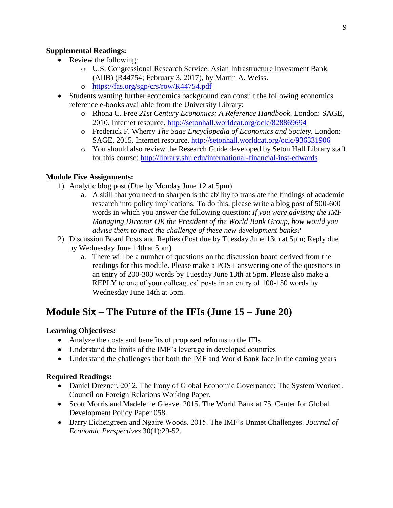#### **Supplemental Readings:**

- Review the following:
	- o U.S. Congressional Research Service. Asian Infrastructure Investment Bank (AIIB) (R44754; February 3, 2017), by Martin A. Weiss.
	- o <https://fas.org/sgp/crs/row/R44754.pdf>
- Students wanting further economics background can consult the following economics reference e-books available from the University Library:
	- o Rhona C. Free *21st Century Economics: A Reference Handbook*. London: SAGE, 2010. Internet resource.<http://setonhall.worldcat.org/oclc/828869694>
	- o Frederick F. Wherry *The Sage Encyclopedia of Economics and Society*. London: SAGE, 2015. Internet resource.<http://setonhall.worldcat.org/oclc/936331906>
	- o You should also review the Research Guide developed by Seton Hall Library staff for this course:<http://library.shu.edu/international-financial-inst-edwards>

#### **Module Five Assignments:**

- 1) Analytic blog post (Due by Monday June 12 at 5pm)
	- a. A skill that you need to sharpen is the ability to translate the findings of academic research into policy implications. To do this, please write a blog post of 500-600 words in which you answer the following question: *If you were advising the IMF Managing Director OR the President of the World Bank Group, how would you advise them to meet the challenge of these new development banks?*
- 2) Discussion Board Posts and Replies (Post due by Tuesday June 13th at 5pm; Reply due by Wednesday June 14th at 5pm)
	- a. There will be a number of questions on the discussion board derived from the readings for this module. Please make a POST answering one of the questions in an entry of 200-300 words by Tuesday June 13th at 5pm. Please also make a REPLY to one of your colleagues' posts in an entry of 100-150 words by Wednesday June 14th at 5pm.

### **Module Six – The Future of the IFIs (June 15 – June 20)**

#### **Learning Objectives:**

- Analyze the costs and benefits of proposed reforms to the IFIs
- Understand the limits of the IMF's leverage in developed countries
- Understand the challenges that both the IMF and World Bank face in the coming years

#### **Required Readings:**

- Daniel Drezner. 2012. The Irony of Global Economic Governance: The System Worked. Council on Foreign Relations Working Paper.
- Scott Morris and Madeleine Gleave. 2015. The World Bank at 75. Center for Global Development Policy Paper 058.
- Barry Eichengreen and Ngaire Woods. 2015. The IMF's Unmet Challenges. *Journal of Economic Perspectives* 30(1):29-52.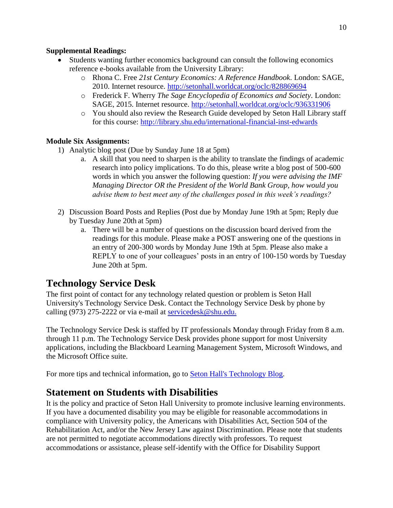#### **Supplemental Readings:**

- Students wanting further economics background can consult the following economics reference e-books available from the University Library:
	- o Rhona C. Free *21st Century Economics: A Reference Handbook*. London: SAGE, 2010. Internet resource.<http://setonhall.worldcat.org/oclc/828869694>
	- o Frederick F. Wherry *The Sage Encyclopedia of Economics and Society*. London: SAGE, 2015. Internet resource.<http://setonhall.worldcat.org/oclc/936331906>
	- o You should also review the Research Guide developed by Seton Hall Library staff for this course:<http://library.shu.edu/international-financial-inst-edwards>

### **Module Six Assignments:**

- 1) Analytic blog post (Due by Sunday June 18 at 5pm)
	- a. A skill that you need to sharpen is the ability to translate the findings of academic research into policy implications. To do this, please write a blog post of 500-600 words in which you answer the following question: *If you were advising the IMF Managing Director OR the President of the World Bank Group, how would you advise them to best meet any of the challenges posed in this week's readings?*
- 2) Discussion Board Posts and Replies (Post due by Monday June 19th at 5pm; Reply due by Tuesday June 20th at 5pm)
	- a. There will be a number of questions on the discussion board derived from the readings for this module. Please make a POST answering one of the questions in an entry of 200-300 words by Monday June 19th at 5pm. Please also make a REPLY to one of your colleagues' posts in an entry of 100-150 words by Tuesday June 20th at 5pm.

# **Technology Service Desk**

The first point of contact for any technology related question or problem is Seton Hall University's Technology Service Desk. Contact the Technology Service Desk by phone by calling (973) 275-2222 or via e-mail at [servicedesk@shu.edu.](mailto:servicedesk@shu.edu)

The Technology Service Desk is staffed by IT professionals Monday through Friday from 8 a.m. through 11 p.m. The Technology Service Desk provides phone support for most University applications, including the Blackboard Learning Management System, Microsoft Windows, and the Microsoft Office suite.

For more tips and technical information, go to [Seton Hall's Technology Blog.](http://blogs.shu.edu/technology)

# **Statement on Students with Disabilities**

It is the policy and practice of Seton Hall University to promote inclusive learning environments. If you have a documented disability you may be eligible for reasonable accommodations in compliance with University policy, the Americans with Disabilities Act, Section 504 of the Rehabilitation Act, and/or the New Jersey Law against Discrimination. Please note that students are not permitted to negotiate accommodations directly with professors. To request accommodations or assistance, please self-identify with the Office for Disability Support